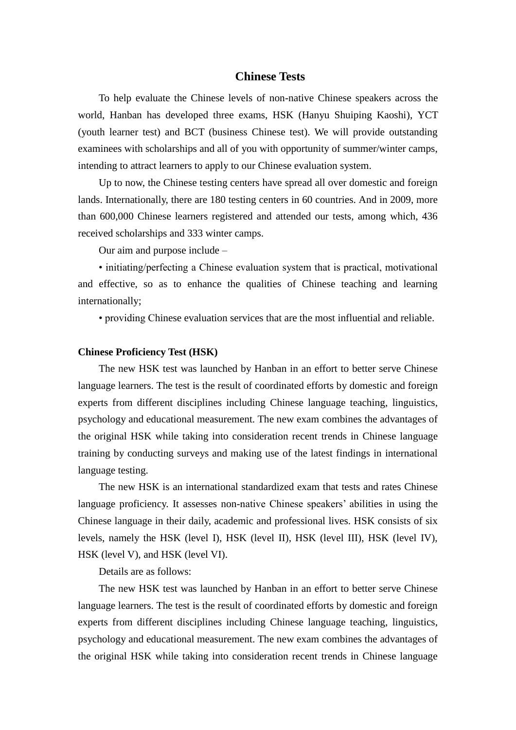## **Chinese Tests**

To help evaluate the Chinese levels of non-native Chinese speakers across the world, Hanban has developed three exams, HSK (Hanyu Shuiping Kaoshi), YCT (youth learner test) and BCT (business Chinese test). We will provide outstanding examinees with scholarships and all of you with opportunity of summer/winter camps, intending to attract learners to apply to our Chinese evaluation system.

Up to now, the Chinese testing centers have spread all over domestic and foreign lands. Internationally, there are 180 testing centers in 60 countries. And in 2009, more than 600,000 Chinese learners registered and attended our tests, among which, 436 received scholarships and 333 winter camps.

Our aim and purpose include –

• initiating/perfecting a Chinese evaluation system that is practical, motivational and effective, so as to enhance the qualities of Chinese teaching and learning internationally;

• providing Chinese evaluation services that are the most influential and reliable.

#### **Chinese Proficiency Test (HSK)**

The new HSK test was launched by Hanban in an effort to better serve Chinese language learners. The test is the result of coordinated efforts by domestic and foreign experts from different disciplines including Chinese language teaching, linguistics, psychology and educational measurement. The new exam combines the advantages of the original HSK while taking into consideration recent trends in Chinese language training by conducting surveys and making use of the latest findings in international language testing.

The new HSK is an international standardized exam that tests and rates Chinese language proficiency. It assesses non-native Chinese speakers' abilities in using the Chinese language in their daily, academic and professional lives. HSK consists of six levels, namely the HSK (level I), HSK (level II), HSK (level III), HSK (level IV), HSK (level V), and HSK (level VI).

Details are as follows:

The new HSK test was launched by Hanban in an effort to better serve Chinese language learners. The test is the result of coordinated efforts by domestic and foreign experts from different disciplines including Chinese language teaching, linguistics, psychology and educational measurement. The new exam combines the advantages of the original HSK while taking into consideration recent trends in Chinese language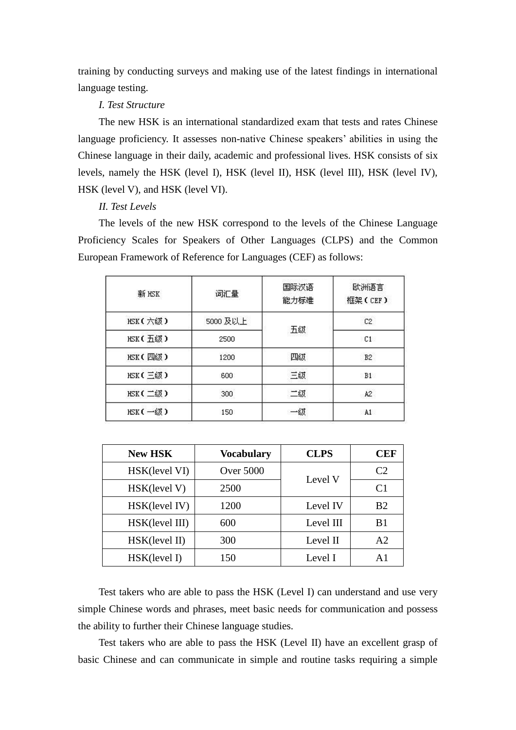training by conducting surveys and making use of the latest findings in international language testing.

*I. Test Structure* 

The new HSK is an international standardized exam that tests and rates Chinese language proficiency. It assesses non-native Chinese speakers' abilities in using the Chinese language in their daily, academic and professional lives. HSK consists of six levels, namely the HSK (level I), HSK (level II), HSK (level III), HSK (level IV), HSK (level V), and HSK (level VI).

*II. Test Levels* 

The levels of the new HSK correspond to the levels of the Chinese Language Proficiency Scales for Speakers of Other Languages (CLPS) and the Common European Framework of Reference for Languages (CEF) as follows:

| 新 HSK   | 词汇量      | 国际汉语<br>能力标准 | 欧洲语言<br>框架(CEF) |
|---------|----------|--------------|-----------------|
| HSK(六级) | 5000 及以上 | 五级           | C2              |
| HSK(五级) | 2500     |              | C1              |
| HSK(四级) | 1200     | 四级           | B2              |
| HSK(三级) | 600      | 三级           | B1              |
| HSK(二级) | 300      | 二级           | A <sub>2</sub>  |
| HSK(一级) | 150      | -85          | A1              |

| <b>New HSK</b> | <b>Vocabulary</b> | <b>CLPS</b> | CEF            |
|----------------|-------------------|-------------|----------------|
| HSK(level VI)  | <b>Over 5000</b>  |             | C <sub>2</sub> |
| HSK(level V)   | 2500              | Level V     | C <sub>1</sub> |
| HSK(level IV)  | 1200              | Level IV    | B <sub>2</sub> |
| HSK(level III) | 600               | Level III   | B <sub>1</sub> |
| HSK(level II)  | 300               | Level II    | A2             |
| HSK(level I)   | 150               | Level I     | A <sub>1</sub> |

Test takers who are able to pass the HSK (Level I) can understand and use very simple Chinese words and phrases, meet basic needs for communication and possess the ability to further their Chinese language studies.

Test takers who are able to pass the HSK (Level II) have an excellent grasp of basic Chinese and can communicate in simple and routine tasks requiring a simple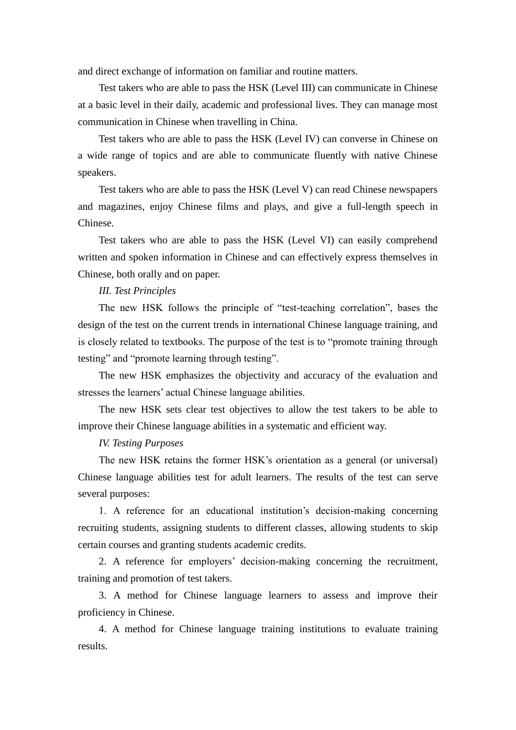and direct exchange of information on familiar and routine matters.

Test takers who are able to pass the HSK (Level III) can communicate in Chinese at a basic level in their daily, academic and professional lives. They can manage most communication in Chinese when travelling in China.

Test takers who are able to pass the HSK (Level IV) can converse in Chinese on a wide range of topics and are able to communicate fluently with native Chinese speakers.

Test takers who are able to pass the HSK (Level V) can read Chinese newspapers and magazines, enjoy Chinese films and plays, and give a full-length speech in Chinese.

Test takers who are able to pass the HSK (Level VI) can easily comprehend written and spoken information in Chinese and can effectively express themselves in Chinese, both orally and on paper.

# *III. Test Principles*

The new HSK follows the principle of "test-teaching correlation", bases the design of the test on the current trends in international Chinese language training, and is closely related to textbooks. The purpose of the test is to "promote training through testing" and "promote learning through testing".

The new HSK emphasizes the objectivity and accuracy of the evaluation and stresses the learners' actual Chinese language abilities.

The new HSK sets clear test objectives to allow the test takers to be able to improve their Chinese language abilities in a systematic and efficient way.

# *IV. Testing Purposes*

The new HSK retains the former HSK's orientation as a general (or universal) Chinese language abilities test for adult learners. The results of the test can serve several purposes:

1. A reference for an educational institution's decision-making concerning recruiting students, assigning students to different classes, allowing students to skip certain courses and granting students academic credits.

2. A reference for employers' decision-making concerning the recruitment, training and promotion of test takers.

3. A method for Chinese language learners to assess and improve their proficiency in Chinese.

4. A method for Chinese language training institutions to evaluate training results.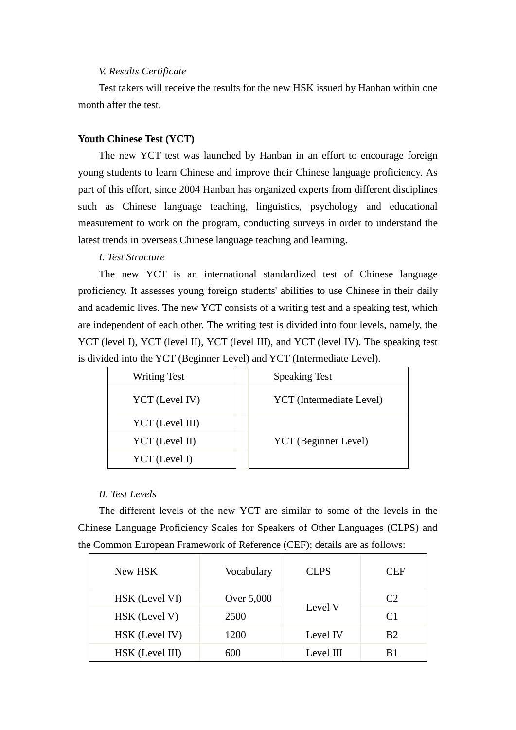# *V. Results Certificate*

Test takers will receive the results for the new HSK issued by Hanban within one month after the test.

# **Youth Chinese Test (YCT)**

The new YCT test was launched by Hanban in an effort to encourage foreign young students to learn Chinese and improve their Chinese language proficiency. As part of this effort, since 2004 Hanban has organized experts from different disciplines such as Chinese language teaching, linguistics, psychology and educational measurement to work on the program, conducting surveys in order to understand the latest trends in overseas Chinese language teaching and learning.

### *I. Test Structure*

The new YCT is an international standardized test of Chinese language proficiency. It assesses young foreign students' abilities to use Chinese in their daily and academic lives. The new YCT consists of a writing test and a speaking test, which are independent of each other. The writing test is divided into four levels, namely, the YCT (level I), YCT (level II), YCT (level III), and YCT (level IV). The speaking test is divided into the YCT (Beginner Level) and YCT (Intermediate Level).

| <b>Writing Test</b> | <b>Speaking Test</b>     |  |
|---------------------|--------------------------|--|
| YCT (Level IV)      | YCT (Intermediate Level) |  |
| YCT (Level III)     |                          |  |
| YCT (Level II)      | YCT (Beginner Level)     |  |
| YCT (Level I)       |                          |  |

# *II. Test Levels*

The different levels of the new YCT are similar to some of the levels in the Chinese Language Proficiency Scales for Speakers of Other Languages (CLPS) and the Common European Framework of Reference (CEF); details are as follows:

| New HSK         | Vocabulary | <b>CLPS</b> | <b>CEF</b>     |
|-----------------|------------|-------------|----------------|
| HSK (Level VI)  | Over 5,000 | Level V     | C2             |
| HSK (Level V)   | 2500       |             | C <sub>1</sub> |
| HSK (Level IV)  | 1200       | Level IV    | B <sub>2</sub> |
| HSK (Level III) | 600        | Level III   | B1             |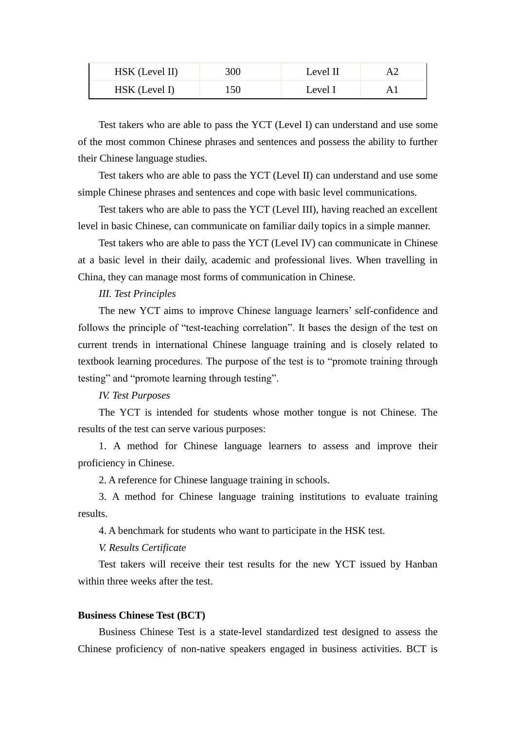| HSK (Level II) | 300 | Level II |  |
|----------------|-----|----------|--|
| HSK (Level I)  | 150 | Level I  |  |

Test takers who are able to pass the YCT (Level I) can understand and use some of the most common Chinese phrases and sentences and possess the ability to further their Chinese language studies.

Test takers who are able to pass the YCT (Level II) can understand and use some simple Chinese phrases and sentences and cope with basic level communications.

Test takers who are able to pass the YCT (Level III), having reached an excellent level in basic Chinese, can communicate on familiar daily topics in a simple manner.

Test takers who are able to pass the YCT (Level IV) can communicate in Chinese at a basic level in their daily, academic and professional lives. When travelling in China, they can manage most forms of communication in Chinese.

### *III. Test Principles*

The new YCT aims to improve Chinese language learners' self-confidence and follows the principle of "test-teaching correlation". It bases the design of the test on current trends in international Chinese language training and is closely related to textbook learning procedures. The purpose of the test is to "promote training through testing" and "promote learning through testing".

# *IV. Test Purposes*

The YCT is intended for students whose mother tongue is not Chinese. The results of the test can serve various purposes:

1. A method for Chinese language learners to assess and improve their proficiency in Chinese.

2. A reference for Chinese language training in schools.

3. A method for Chinese language training institutions to evaluate training results.

4. A benchmark for students who want to participate in the HSK test.

### *V. Results Certificate*

Test takers will receive their test results for the new YCT issued by Hanban within three weeks after the test.

#### **Business Chinese Test (BCT)**

Business Chinese Test is a state-level standardized test designed to assess the Chinese proficiency of non-native speakers engaged in business activities. BCT is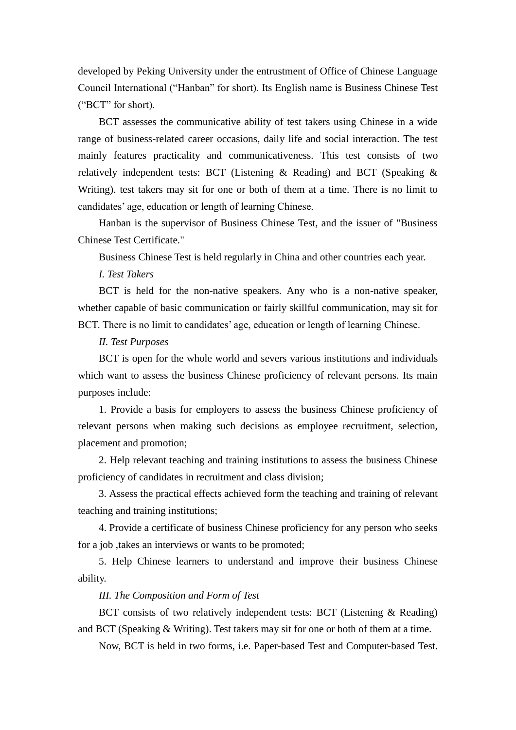developed by Peking University under the entrustment of Office of Chinese Language Council International ("Hanban" for short). Its English name is Business Chinese Test ("BCT" for short).

BCT assesses the communicative ability of test takers using Chinese in a wide range of business-related career occasions, daily life and social interaction. The test mainly features practicality and communicativeness. This test consists of two relatively independent tests: BCT (Listening & Reading) and BCT (Speaking & Writing). test takers may sit for one or both of them at a time. There is no limit to candidates' age, education or length of learning Chinese.

Hanban is the supervisor of Business Chinese Test, and the issuer of "Business Chinese Test Certificate."

Business Chinese Test is held regularly in China and other countries each year.

*I. Test Takers*

BCT is held for the non-native speakers. Any who is a non-native speaker, whether capable of basic communication or fairly skillful communication, may sit for BCT. There is no limit to candidates' age, education or length of learning Chinese.

*II. Test Purposes*

BCT is open for the whole world and severs various institutions and individuals which want to assess the business Chinese proficiency of relevant persons. Its main purposes include:

1. Provide a basis for employers to assess the business Chinese proficiency of relevant persons when making such decisions as employee recruitment, selection, placement and promotion;

2. Help relevant teaching and training institutions to assess the business Chinese proficiency of candidates in recruitment and class division;

3. Assess the practical effects achieved form the teaching and training of relevant teaching and training institutions;

4. Provide a certificate of business Chinese proficiency for any person who seeks for a job ,takes an interviews or wants to be promoted;

5. Help Chinese learners to understand and improve their business Chinese ability.

## *III. The Composition and Form of Test*

BCT consists of two relatively independent tests: BCT (Listening & Reading) and BCT (Speaking & Writing). Test takers may sit for one or both of them at a time.

Now, BCT is held in two forms, i.e. Paper-based Test and Computer-based Test.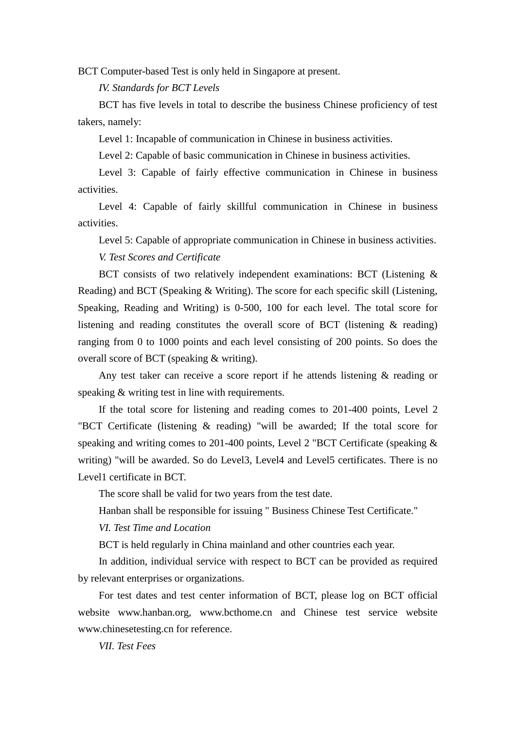BCT Computer-based Test is only held in Singapore at present.

*IV. Standards for BCT Levels*

BCT has five levels in total to describe the business Chinese proficiency of test takers, namely:

Level 1: Incapable of communication in Chinese in business activities.

Level 2: Capable of basic communication in Chinese in business activities.

Level 3: Capable of fairly effective communication in Chinese in business activities.

Level 4: Capable of fairly skillful communication in Chinese in business activities.

Level 5: Capable of appropriate communication in Chinese in business activities. *V. Test Scores and Certificate*

BCT consists of two relatively independent examinations: BCT (Listening & Reading) and BCT (Speaking & Writing). The score for each specific skill (Listening, Speaking, Reading and Writing) is 0-500, 100 for each level. The total score for listening and reading constitutes the overall score of BCT (listening & reading) ranging from 0 to 1000 points and each level consisting of 200 points. So does the overall score of BCT (speaking & writing).

Any test taker can receive a score report if he attends listening & reading or speaking & writing test in line with requirements.

If the total score for listening and reading comes to 201-400 points, Level 2 "BCT Certificate (listening & reading) "will be awarded; If the total score for speaking and writing comes to 201-400 points, Level 2 "BCT Certificate (speaking & writing) "will be awarded. So do Level3, Level4 and Level5 certificates. There is no Level1 certificate in BCT.

The score shall be valid for two years from the test date.

Hanban shall be responsible for issuing " Business Chinese Test Certificate."

*VI. Test Time and Location*

BCT is held regularly in China mainland and other countries each year.

In addition, individual service with respect to BCT can be provided as required by relevant enterprises or organizations.

For test dates and test center information of BCT, please log on BCT official website www.hanban.org, www.bcthome.cn and Chinese test service website www.chinesetesting.cn for reference.

*VII. Test Fees*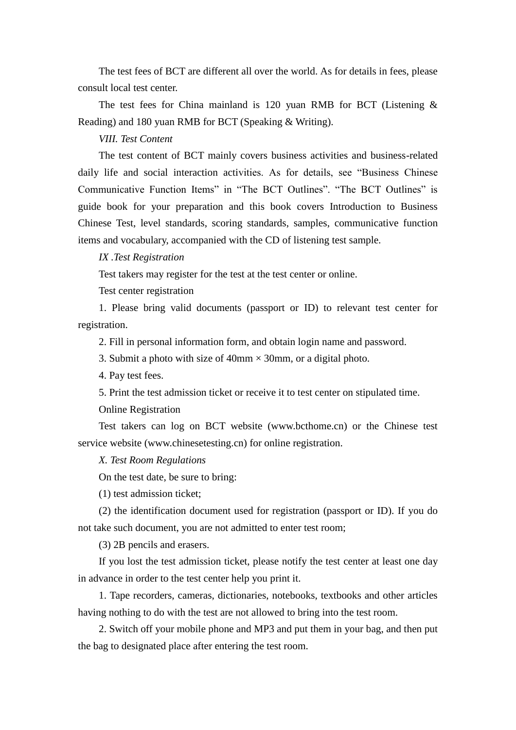The test fees of BCT are different all over the world. As for details in fees, please consult local test center.

The test fees for China mainland is 120 yuan RMB for BCT (Listening  $\&$ Reading) and 180 yuan RMB for BCT (Speaking & Writing).

### *VIII. Test Content*

The test content of BCT mainly covers business activities and business-related daily life and social interaction activities. As for details, see "Business Chinese Communicative Function Items" in "The BCT Outlines". "The BCT Outlines" is guide book for your preparation and this book covers Introduction to Business Chinese Test, level standards, scoring standards, samples, communicative function items and vocabulary, accompanied with the CD of listening test sample.

#### *IX .Test Registration*

Test takers may register for the test at the test center or online.

Test center registration

1. Please bring valid documents (passport or ID) to relevant test center for registration.

2. Fill in personal information form, and obtain login name and password.

3. Submit a photo with size of 40mm  $\times$  30mm, or a digital photo.

4. Pay test fees.

5. Print the test admission ticket or receive it to test center on stipulated time.

Online Registration

Test takers can log on BCT website (www.bcthome.cn) or the Chinese test service website (www.chinesetesting.cn) for online registration.

### *X. Test Room Regulations*

On the test date, be sure to bring:

(1) test admission ticket;

(2) the identification document used for registration (passport or ID). If you do not take such document, you are not admitted to enter test room;

(3) 2B pencils and erasers.

If you lost the test admission ticket, please notify the test center at least one day in advance in order to the test center help you print it.

1. Tape recorders, cameras, dictionaries, notebooks, textbooks and other articles having nothing to do with the test are not allowed to bring into the test room.

2. Switch off your mobile phone and MP3 and put them in your bag, and then put the bag to designated place after entering the test room.